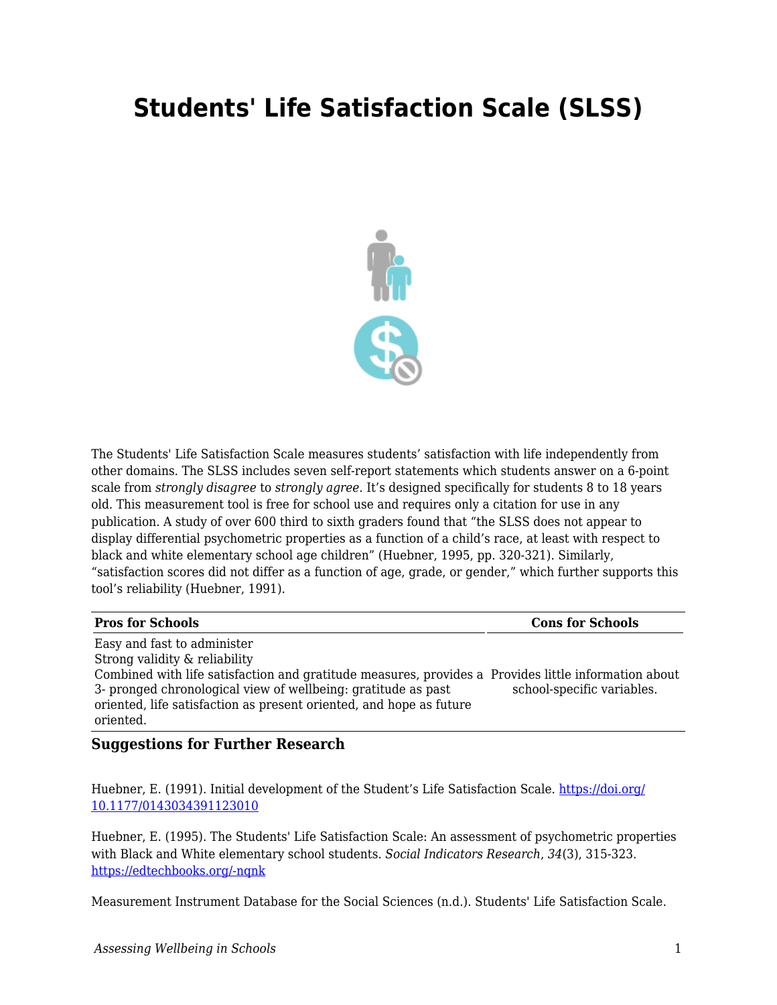## **Students' Life Satisfaction Scale (SLSS)**



The Students' Life Satisfaction Scale measures students' satisfaction with life independently from other domains. The SLSS includes seven self-report statements which students answer on a 6-point scale from *strongly disagree* to *strongly agree*. It's designed specifically for students 8 to 18 years old. This measurement tool is free for school use and requires only a citation for use in any publication. A study of over 600 third to sixth graders found that "the SLSS does not appear to display differential psychometric properties as a function of a child's race, at least with respect to black and white elementary school age children" (Huebner, 1995, pp. 320-321). Similarly, "satisfaction scores did not differ as a function of age, grade, or gender," which further supports this tool's reliability (Huebner, 1991).

| <b>Pros for Schools</b>                                                                                                                                                                                                                                                                                                   | <b>Cons for Schools</b>    |
|---------------------------------------------------------------------------------------------------------------------------------------------------------------------------------------------------------------------------------------------------------------------------------------------------------------------------|----------------------------|
| Easy and fast to administer<br>Strong validity & reliability<br>Combined with life satisfaction and gratitude measures, provides a Provides little information about<br>3- pronged chronological view of wellbeing: gratitude as past<br>oriented, life satisfaction as present oriented, and hope as future<br>oriented. | school-specific variables. |

## **Suggestions for Further Research**

Huebner, E. (1991). Initial development of the Student's Life Satisfaction Scale*.* [https://doi.org/](https://doi.org/%2010.1177/0143034391123010) [10.1177/0143034391123010](https://doi.org/%2010.1177/0143034391123010) 

Huebner, E. (1995). The Students' Life Satisfaction Scale: An assessment of psychometric properties with Black and White elementary school students. *Social Indicators Research*, *34*(3), 315-323. [https://edtechbooks.org/-nqnk](http://www.jstor.org/stable/27522813)

Measurement Instrument Database for the Social Sciences (n.d.). Students' Life Satisfaction Scale.